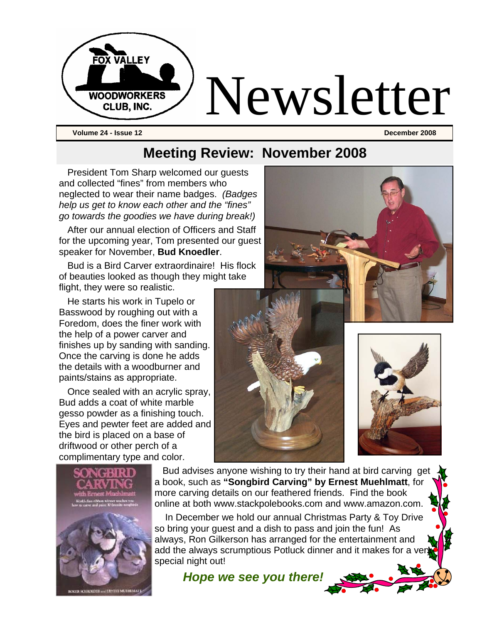

**Volume 24 - Issue 12 December 2008** 

## **Meeting Review: November 2008**

President Tom Sharp welcomed our guests and collected "fines" from members who neglected to wear their name badges. *(Badges help us get to know each other and the "fines" go towards the goodies we have during break!)* 

After our annual election of Officers and Staff for the upcoming year, Tom presented our guest speaker for November, **Bud Knoedler**.

Bud is a Bird Carver extraordinaire! His flock of beauties looked as though they might take flight, they were so realistic.

He starts his work in Tupelo or Basswood by roughing out with a Foredom, does the finer work with the help of a power carver and finishes up by sanding with sanding. Once the carving is done he adds the details with a woodburner and paints/stains as appropriate.

Once sealed with an acrylic spray, Bud adds a coat of white marble gesso powder as a finishing touch. Eyes and pewter feet are added and the bird is placed on a base of driftwood or other perch of a complimentary type and color.



 Bud advises anyone wishing to try their hand at bird carving get a book, such as **"Songbird Carving" by Ernest Muehlmatt**, for

more carving details on our feathered friends. Find the book online at both www.stackpolebooks.com and www.amazon.com. In December we hold our annual Christmas Party & Toy Drive so bring your guest and a dish to pass and join the fun! As always, Ron Gilkerson has arranged for the entertainment and add the always scrumptious Potluck dinner and it makes for a very

*Hope we see you there!*

special night out!





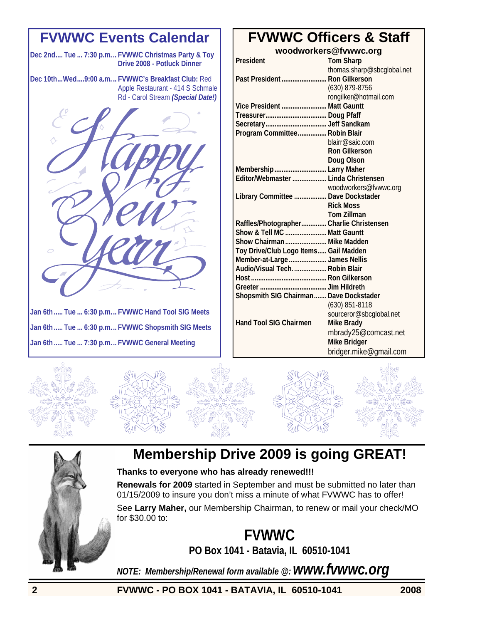## **FVWWC Events Calendar**

**Dec 2nd.... Tue ... 7:30 p.m... FVWWC Christmas Party & Toy Drive 2008 - Potluck Dinner** 

**Dec 10th...Wed....9:00 a.m. .. FVWWC's Breakfast Club:** Red Apple Restaurant - 414 S Schmale Rd - Carol Stream *(Special Date!)* 



**Jan 6th ..... Tue ... 6:30 p.m... FVWWC Hand Tool SIG Meets Jan 6th ..... Tue ... 6:30 p.m... FVWWC Shopsmith SIG Meets Jan 6th ..... Tue ... 7:30 p.m... FVWWC General Meeting** 

## **FVWWC Officers & Staff**

**woodworkers@fvwwc.org President Tom Sharp**  thomas.sharp@sbcglobal.net **Past President ......................... Ron Gilkerson**  (630) 879-8756 rongilker@hotmail.com **Vice President ......................... Matt Gauntt Treasurer.................................. Doug Pfaff Secretary.................................. Jeff Sandkam Program Committee................ Robin Blair**  blairr@saic.com **Ron Gilkerson Doug Olson Membership............................. Larry Maher Editor/Webmaster ................... Linda Christensen**  woodworkers@fvwwc.org **Library Committee .................. Dave Dockstader Rick Moss Tom Zillman Raffles/Photographer.............. Charlie Christensen Show & Tell MC ....................... Matt Gauntt Show Chairman ....................... Mike Madden Toy Drive/Club Logo Items..... Gail Madden Member-at-Large..................... James Nellis Audio/Visual Tech................... Robin Blair Host .......................................... Ron Gilkerson Greeter ..................................... Jim Hildreth Shopsmith SIG Chairman....... Dave Dockstader**  (630) 851-8118 sourceror@sbcglobal.net **Hand Tool SIG Chairmen Mike Brady**  mbrady25@comcast.net  **Mike Bridger** 

bridger.mike@gmail.com





## **Membership Drive 2009 is going GREAT!**

#### **Thanks to everyone who has already renewed!!!**

**Renewals for 2009** started in September and must be submitted no later than 01/15/2009 to insure you don't miss a minute of what FVWWC has to offer!

See **Larry Maher,** our Membership Chairman, to renew or mail your check/MO for \$30.00 to:

> **FVWWC PO Box 1041 - Batavia, IL 60510-1041**

*NOTE: Membership/Renewal form available @: www.fvwwc.org*

**2 FVWWC - PO BOX 1041 - BATAVIA, IL 60510-1041 2008**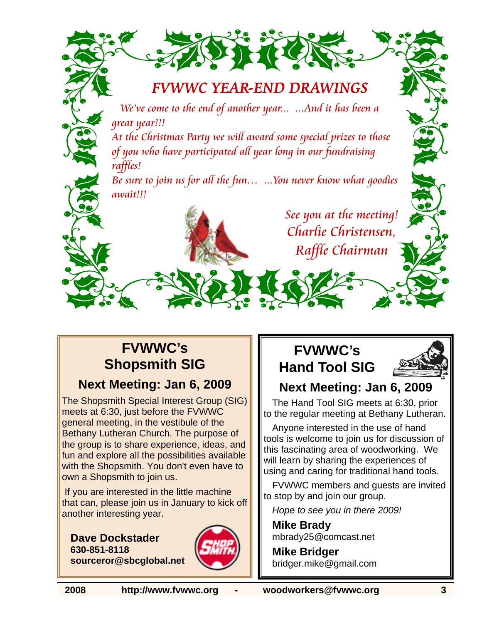

We've come to the end of another year... ...And it has been a great year!!!

At the Christmas Party we will award some special prizes to those of you who have participated all year long in our fundraising raffles!

Be sure to join us for all the fun… ...You never know what goodies await!!!

> See you at the meeting! Charlie Christensen, Raffle Chairman

## **FVWWC's Shopsmith SIG**

### **Next Meeting: Jan 6, 2009**

The Shopsmith Special Interest Group (SIG) meets at 6:30, just before the FVWWC general meeting, in the vestibule of the Bethany Lutheran Church. The purpose of the group is to share experience, ideas, and fun and explore all the possibilities available with the Shopsmith. You don't even have to own a Shopsmith to join us.

 If you are interested in the little machine that can, please join us in January to kick off another interesting year.

**Dave Dockstader 630-851-8118 sourceror@sbcglobal.net**



## **FVWWC's Hand Tool SIG**



## **Next Meeting: Jan 6, 2009**

The Hand Tool SIG meets at 6:30, prior to the regular meeting at Bethany Lutheran.

Anyone interested in the use of hand tools is welcome to join us for discussion of this fascinating area of woodworking. We will learn by sharing the experiences of using and caring for traditional hand tools.

FVWWC members and guests are invited to stop by and join our group.

*Hope to see you in there 2009!* 

**Mike Brady**  mbrady25@comcast.net

**Mike Bridger**  bridger.mike@gmail.com

**2008 http://www.fvwwc.org - woodworkers@fvwwc.org 3**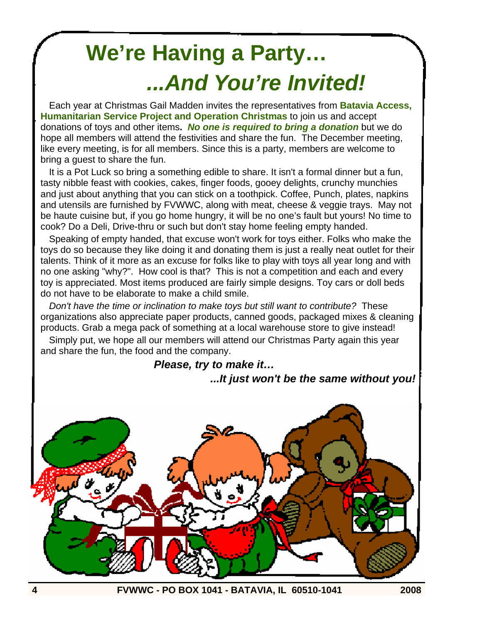# **We're Having a Party…**   *...And You're Invited!*

Each year at Christmas Gail Madden invites the representatives from **Batavia Access, Humanitarian Service Project and Operation Christmas** to join us and accept donations of toys and other items**.** *No one is required to bring a donation* but we do hope all members will attend the festivities and share the fun. The December meeting, like every meeting, is for all members. Since this is a party, members are welcome to bring a guest to share the fun.

It is a Pot Luck so bring a something edible to share. It isn't a formal dinner but a fun, tasty nibble feast with cookies, cakes, finger foods, gooey delights, crunchy munchies and just about anything that you can stick on a toothpick. Coffee, Punch, plates, napkins and utensils are furnished by FVWWC, along with meat, cheese & veggie trays. May not be haute cuisine but, if you go home hungry, it will be no one's fault but yours! No time to cook? Do a Deli, Drive-thru or such but don't stay home feeling empty handed.

Speaking of empty handed, that excuse won't work for toys either. Folks who make the toys do so because they like doing it and donating them is just a really neat outlet for their talents. Think of it more as an excuse for folks like to play with toys all year long and with no one asking "why?". How cool is that? This is not a competition and each and every toy is appreciated. Most items produced are fairly simple designs. Toy cars or doll beds do not have to be elaborate to make a child smile.

*Don't have the time or inclination to make toys but still want to contribute?* These organizations also appreciate paper products, canned goods, packaged mixes & cleaning products. Grab a mega pack of something at a local warehouse store to give instead!

Simply put, we hope all our members will attend our Christmas Party again this year and share the fun, the food and the company.

 *Please, try to make it…* 

#### *...It just won't be the same without you!*



**4 FVWWC - PO BOX 1041 - BATAVIA, IL 60510-1041 2008**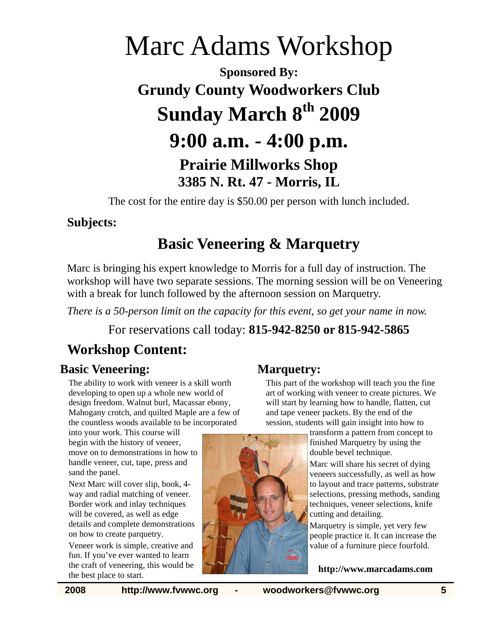# Marc Adams Workshop **Sponsored By: Grundy County Woodworkers Club Sunday March 8th 2009 9:00 a.m. - 4:00 p.m. Prairie Millworks Shop 3385 N. Rt. 47 - Morris, IL**

The cost for the entire day is \$50.00 per person with lunch included.

### **Subjects:**

## **Basic Veneering & Marquetry**

Marc is bringing his expert knowledge to Morris for a full day of instruction. The workshop will have two separate sessions. The morning session will be on Veneering with a break for lunch followed by the afternoon session on Marquetry.

*There is a 50-person limit on the capacity for this event, so get your name in now.* 

For reservations call today: **815-942-8250 or 815-942-5865**

## **Workshop Content:**

### **Basic Veneering:**

The ability to work with veneer is a skill worth developing to open up a whole new world of design freedom. Walnut burl, Macassar ebony, Mahogany crotch, and quilted Maple are a few of the countless woods available to be incorporated

into your work. This course will begin with the history of veneer, move on to demonstrations in how to handle veneer, cut, tape, press and sand the panel.

Next Marc will cover slip, book, 4 way and radial matching of veneer. Border work and inlay techniques will be covered, as well as edge details and complete demonstrations on how to create parquetry.

Veneer work is simple, creative and fun. If you've ever wanted to learn the craft of veneering, this would be the best place to start.

### **Marquetry:**

This part of the workshop will teach you the fine art of working with veneer to create pictures. We will start by learning how to handle, flatten, cut and tape veneer packets. By the end of the session, students will gain insight into how to

> transform a pattern from concept to finished Marquetry by using the double bevel technique.

Marc will share his secret of dying veneers successfully, as well as how to layout and trace patterns, substrate selections, pressing methods, sanding techniques, veneer selections, knife cutting and detailing.

Marquetry is simple, yet very few people practice it. It can increase the value of a furniture piece fourfold.

**http://www.marcadams.com**

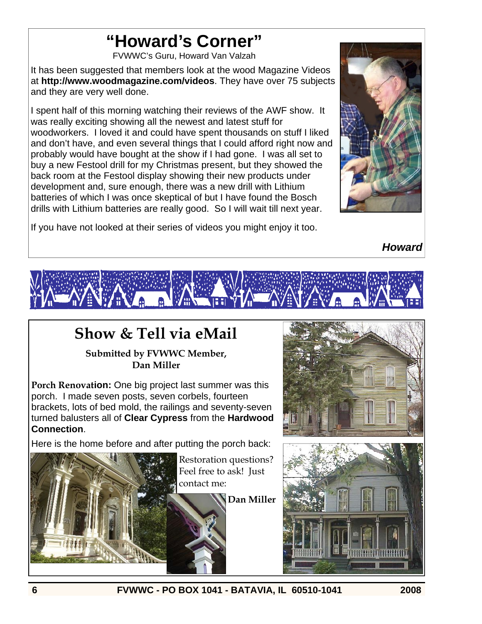# **"Howard's Corner"**

FVWWC's Guru, Howard Van Valzah

It has been suggested that members look at the wood Magazine Videos at **http://www.woodmagazine.com/videos**. They have over 75 subjects and they are very well done.

I spent half of this morning watching their reviews of the AWF show. It was really exciting showing all the newest and latest stuff for woodworkers. I loved it and could have spent thousands on stuff I liked and don't have, and even several things that I could afford right now and probably would have bought at the show if I had gone. I was all set to buy a new Festool drill for my Christmas present, but they showed the back room at the Festool display showing their new products under development and, sure enough, there was a new drill with Lithium batteries of which I was once skeptical of but I have found the Bosch drills with Lithium batteries are really good. So I will wait till next year.





*Howard* 



## **Show & Tell via eMail**

#### **Submitted by FVWWC Member, Dan Miller**

**Porch Renovation:** One big project last summer was this porch. I made seven posts, seven corbels, fourteen brackets, lots of bed mold, the railings and seventy-seven turned balusters all of **Clear Cypress** from the **Hardwood Connection**.

Here is the home before and after putting the porch back:



Restoration questions? Feel free to ask! Just contact me:

**Dan Miller** 



**6 FVWWC - PO BOX 1041 - BATAVIA, IL 60510-1041 2008**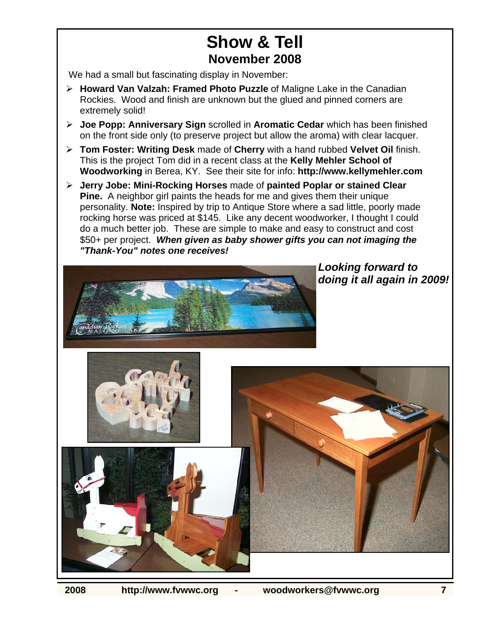## **Show & Tell November 2008**

We had a small but fascinating display in November:

- ¾ **Howard Van Valzah: Framed Photo Puzzle** of Maligne Lake in the Canadian Rockies. Wood and finish are unknown but the glued and pinned corners are extremely solid!
- ¾ **Joe Popp: Anniversary Sign** scrolled in **Aromatic Cedar** which has been finished on the front side only (to preserve project but allow the aroma) with clear lacquer.
- ¾ **Tom Foster: Writing Desk** made of **Cherry** with a hand rubbed **Velvet Oil** finish. This is the project Tom did in a recent class at the **Kelly Mehler School of Woodworking** in Berea, KY. See their site for info: **http://www.kellymehler.com**
- ¾ **Jerry Jobe: Mini-Rocking Horses** made of **painted Poplar or stained Clear Pine.** A neighbor girl paints the heads for me and gives them their unique personality. **Note:** Inspired by trip to Antique Store where a sad little, poorly made rocking horse was priced at \$145. Like any decent woodworker, I thought I could do a much better job. These are simple to make and easy to construct and cost \$50+ per project. *When given as baby shower gifts you can not imaging the "Thank-You" notes one receives!*



*Looking forward to doing it all again in 2009!*